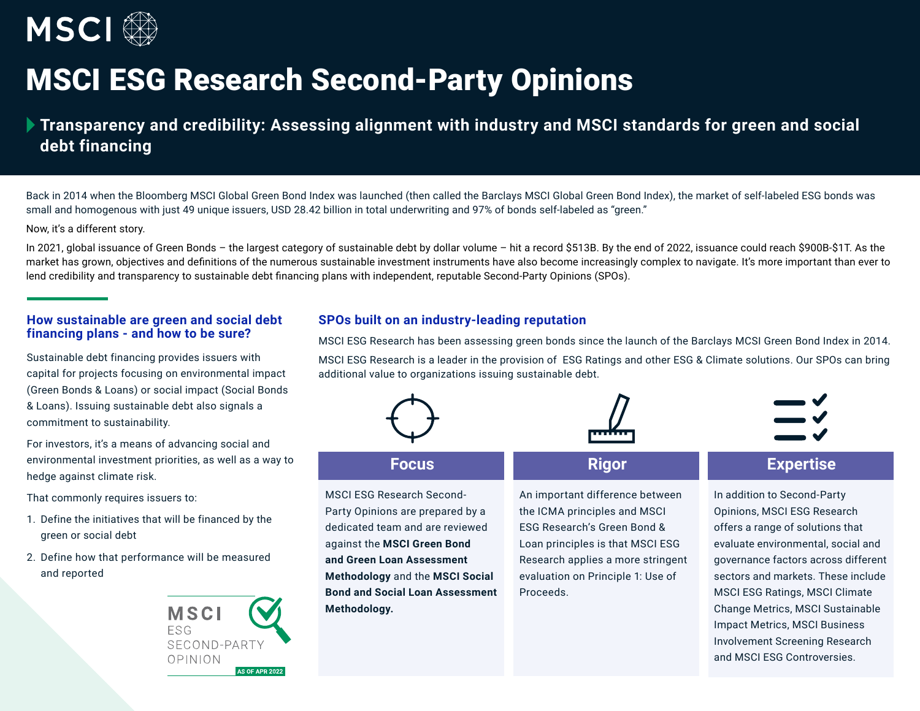

# MSCI ESG Research Second-Party Opinions

# **Transparency and credibility: Assessing alignment with industry and MSCI standards for green and social debt financing**

Back in 2014 when the Bloomberg MSCI Global Green Bond Index was launched (then called the Barclays MSCI Global Green Bond Index), the market of self-labeled ESG bonds was small and homogenous with just 49 unique issuers, USD 28.42 billion in total underwriting and 97% of bonds self-labeled as "green."

Now, it's a different story.

In 2021, global issuance of Green Bonds – the largest category of sustainable debt by dollar volume – hit a record \$513B. By the end of 2022, issuance could reach \$900B-\$1T. As the market has grown, objectives and definitions of the numerous sustainable investment instruments have also become increasingly complex to navigate. It's more important than ever to lend credibility and transparency to sustainable debt financing plans with independent, reputable Second-Party Opinions (SPOs).

### **How sustainable are green and social debt financing plans - and how to be sure?**

Sustainable debt financing provides issuers with capital for projects focusing on environmental impact (Green Bonds & Loans) or social impact (Social Bonds & Loans). Issuing sustainable debt also signals a commitment to sustainability.

For investors, it's a means of advancing social and environmental investment priorities, as well as a way to hedge against climate risk.

That commonly requires issuers to:

- 1. Define the initiatives that will be financed by the green or social debt
- 2. Define how that performance will be measured and reported



# **SPOs built on an industry-leading reputation**

MSCI ESG Research has been assessing green bonds since the launch of the Barclays MCSI Green Bond Index in 2014.

MSCI ESG Research is a leader in the provision of ESG Ratings and other ESG & Climate solutions. Our SPOs can bring additional value to organizations issuing sustainable debt.



# **Focus**

MSCI ESG Research Second-Party Opinions are prepared by a dedicated team and are reviewed against the **MSCI Green Bond and Green Loan Assessment Methodology** and the **MSCI Social Bond and Social Loan Assessment Methodology.**

An important difference between the ICMA principles and MSCI ESG Research's Green Bond & Loan principles is that MSCI ESG Research applies a more stringent evaluation on Principle 1: Use of Proceeds.



# **Rigor Expertise**

In addition to Second-Party Opinions, MSCI ESG Research offers a range of solutions that evaluate environmental, social and governance factors across different sectors and markets. These include MSCI ESG Ratings, MSCI Climate Change Metrics, MSCI Sustainable Impact Metrics, MSCI Business Involvement Screening Research and MSCI ESG Controversies.